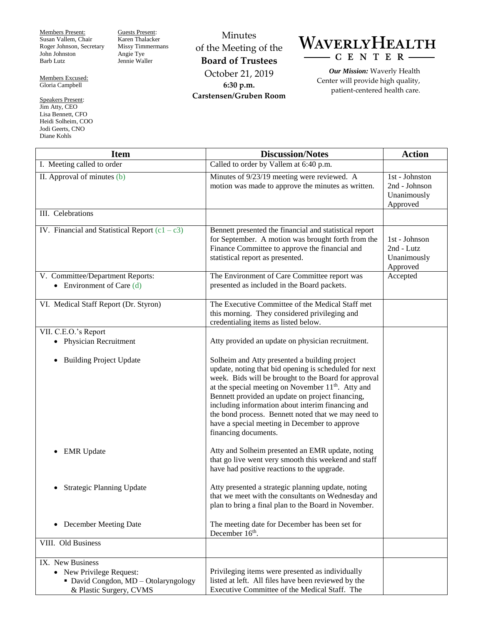Members Present: Susan Vallem, Chair Roger Johnson, Secretary John Johnston Barb Lutz

Members Excused: Gloria Campbell

Speakers Present: Jim Atty, CEO Lisa Bennett, CFO Heidi Solheim, COO Jodi Geerts, CNO Diane Kohls

Guests Present: Karen Thalacker Missy Timmermans Angie Tye Jennie Waller

Minutes of the Meeting of the **Board of Trustees** October 21, 2019 **6:30 p.m. Carstensen/Gruben Room**



*Our Mission:* Waverly Health Center will provide high quality, patient-centered health care.

| <b>Item</b>                                                                                 | <b>Discussion/Notes</b>                                                                                                                                                                                                                                                                                                                                                                                                                                                   | <b>Action</b>                                              |
|---------------------------------------------------------------------------------------------|---------------------------------------------------------------------------------------------------------------------------------------------------------------------------------------------------------------------------------------------------------------------------------------------------------------------------------------------------------------------------------------------------------------------------------------------------------------------------|------------------------------------------------------------|
| I. Meeting called to order                                                                  | Called to order by Vallem at 6:40 p.m.                                                                                                                                                                                                                                                                                                                                                                                                                                    |                                                            |
| II. Approval of minutes (b)                                                                 | Minutes of 9/23/19 meeting were reviewed. A<br>motion was made to approve the minutes as written.                                                                                                                                                                                                                                                                                                                                                                         | 1st - Johnston<br>2nd - Johnson<br>Unanimously<br>Approved |
| III. Celebrations                                                                           |                                                                                                                                                                                                                                                                                                                                                                                                                                                                           |                                                            |
| IV. Financial and Statistical Report $(c1 - c3)$                                            | Bennett presented the financial and statistical report<br>for September. A motion was brought forth from the<br>Finance Committee to approve the financial and<br>statistical report as presented.                                                                                                                                                                                                                                                                        | 1st - Johnson<br>2nd - Lutz<br>Unanimously<br>Approved     |
| V. Committee/Department Reports:<br>• Environment of Care $(d)$                             | The Environment of Care Committee report was<br>presented as included in the Board packets.                                                                                                                                                                                                                                                                                                                                                                               | Accepted                                                   |
| VI. Medical Staff Report (Dr. Styron)                                                       | The Executive Committee of the Medical Staff met<br>this morning. They considered privileging and<br>credentialing items as listed below.                                                                                                                                                                                                                                                                                                                                 |                                                            |
| VII. C.E.O.'s Report                                                                        |                                                                                                                                                                                                                                                                                                                                                                                                                                                                           |                                                            |
| • Physician Recruitment                                                                     | Atty provided an update on physician recruitment.                                                                                                                                                                                                                                                                                                                                                                                                                         |                                                            |
| <b>Building Project Update</b><br>$\bullet$                                                 | Solheim and Atty presented a building project<br>update, noting that bid opening is scheduled for next<br>week. Bids will be brought to the Board for approval<br>at the special meeting on November 11 <sup>th</sup> . Atty and<br>Bennett provided an update on project financing,<br>including information about interim financing and<br>the bond process. Bennett noted that we may need to<br>have a special meeting in December to approve<br>financing documents. |                                                            |
| <b>EMR</b> Update                                                                           | Atty and Solheim presented an EMR update, noting<br>that go live went very smooth this weekend and staff<br>have had positive reactions to the upgrade.                                                                                                                                                                                                                                                                                                                   |                                                            |
| <b>Strategic Planning Update</b><br>$\bullet$                                               | Atty presented a strategic planning update, noting<br>that we meet with the consultants on Wednesday and<br>plan to bring a final plan to the Board in November.                                                                                                                                                                                                                                                                                                          |                                                            |
| December Meeting Date<br>$\bullet$                                                          | The meeting date for December has been set for<br>December 16 <sup>th</sup> .                                                                                                                                                                                                                                                                                                                                                                                             |                                                            |
| VIII. Old Business                                                                          |                                                                                                                                                                                                                                                                                                                                                                                                                                                                           |                                                            |
| IX. New Business                                                                            |                                                                                                                                                                                                                                                                                                                                                                                                                                                                           |                                                            |
| • New Privilege Request:<br>• David Congdon, MD - Otolaryngology<br>& Plastic Surgery, CVMS | Privileging items were presented as individually<br>listed at left. All files have been reviewed by the<br>Executive Committee of the Medical Staff. The                                                                                                                                                                                                                                                                                                                  |                                                            |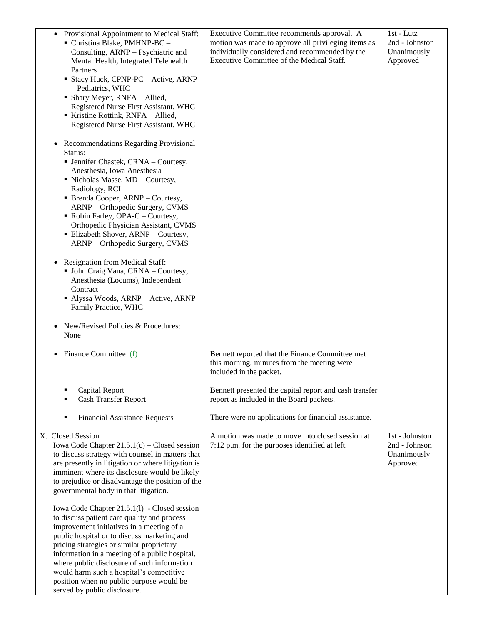| Provisional Appointment to Medical Staff:<br>- Christina Blake, PMHNP-BC -<br>Consulting, ARNP - Psychiatric and<br>Mental Health, Integrated Telehealth<br>Partners<br>• Stacy Huck, CPNP-PC – Active, ARNP<br>- Pediatrics, WHC<br>• Shary Meyer, RNFA - Allied,<br>Registered Nurse First Assistant, WHC<br>Kristine Rottink, $RNFA - Allied$ ,<br>Registered Nurse First Assistant, WHC                                                                   | Executive Committee recommends approval. A<br>motion was made to approve all privileging items as<br>individually considered and recommended by the<br>Executive Committee of the Medical Staff. | 1st - Lutz<br>2nd - Johnston<br>Unanimously<br>Approved    |
|---------------------------------------------------------------------------------------------------------------------------------------------------------------------------------------------------------------------------------------------------------------------------------------------------------------------------------------------------------------------------------------------------------------------------------------------------------------|--------------------------------------------------------------------------------------------------------------------------------------------------------------------------------------------------|------------------------------------------------------------|
| • Recommendations Regarding Provisional<br>Status:<br>• Jennifer Chastek, CRNA - Courtesy,<br>Anesthesia, Iowa Anesthesia<br>$\blacksquare$ Nicholas Masse, MD - Courtesy,<br>Radiology, RCI<br>• Brenda Cooper, ARNP - Courtesy,<br>ARNP - Orthopedic Surgery, CVMS<br>• Robin Farley, OPA-C – Courtesy,<br>Orthopedic Physician Assistant, CVMS<br>• Elizabeth Shover, ARNP - Courtesy,<br>ARNP – Orthopedic Surgery, CVMS                                  |                                                                                                                                                                                                  |                                                            |
| <b>Resignation from Medical Staff:</b><br>$\bullet$<br>• John Craig Vana, CRNA - Courtesy,<br>Anesthesia (Locums), Independent<br>Contract<br>Alyssa Woods, ARNP - Active, ARNP -<br>Family Practice, WHC                                                                                                                                                                                                                                                     |                                                                                                                                                                                                  |                                                            |
| New/Revised Policies & Procedures:<br>$\bullet$<br>None                                                                                                                                                                                                                                                                                                                                                                                                       |                                                                                                                                                                                                  |                                                            |
| • Finance Committee $(f)$                                                                                                                                                                                                                                                                                                                                                                                                                                     | Bennett reported that the Finance Committee met<br>this morning, minutes from the meeting were<br>included in the packet.                                                                        |                                                            |
| Capital Report<br>Cash Transfer Report                                                                                                                                                                                                                                                                                                                                                                                                                        | Bennett presented the capital report and cash transfer<br>report as included in the Board packets.                                                                                               |                                                            |
| <b>Financial Assistance Requests</b>                                                                                                                                                                                                                                                                                                                                                                                                                          | There were no applications for financial assistance.                                                                                                                                             |                                                            |
| X. Closed Session<br>Iowa Code Chapter $21.5.1(c)$ – Closed session<br>to discuss strategy with counsel in matters that<br>are presently in litigation or where litigation is<br>imminent where its disclosure would be likely<br>to prejudice or disadvantage the position of the<br>governmental body in that litigation.                                                                                                                                   | A motion was made to move into closed session at<br>7:12 p.m. for the purposes identified at left.                                                                                               | 1st - Johnston<br>2nd - Johnson<br>Unanimously<br>Approved |
| Iowa Code Chapter 21.5.1(1) - Closed session<br>to discuss patient care quality and process<br>improvement initiatives in a meeting of a<br>public hospital or to discuss marketing and<br>pricing strategies or similar proprietary<br>information in a meeting of a public hospital,<br>where public disclosure of such information<br>would harm such a hospital's competitive<br>position when no public purpose would be<br>served by public disclosure. |                                                                                                                                                                                                  |                                                            |